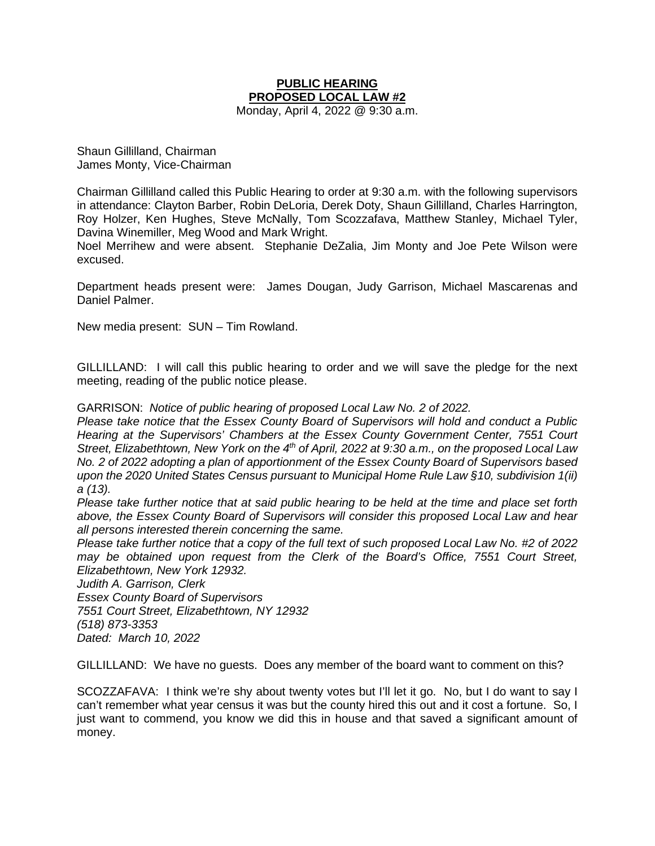## **PUBLIC HEARING PROPOSED LOCAL LAW #2**

Monday, April 4, 2022 @ 9:30 a.m.

Shaun Gillilland, Chairman James Monty, Vice-Chairman

Chairman Gillilland called this Public Hearing to order at 9:30 a.m. with the following supervisors in attendance: Clayton Barber, Robin DeLoria, Derek Doty, Shaun Gillilland, Charles Harrington, Roy Holzer, Ken Hughes, Steve McNally, Tom Scozzafava, Matthew Stanley, Michael Tyler, Davina Winemiller, Meg Wood and Mark Wright.

Noel Merrihew and were absent. Stephanie DeZalia, Jim Monty and Joe Pete Wilson were excused.

Department heads present were: James Dougan, Judy Garrison, Michael Mascarenas and Daniel Palmer.

New media present: SUN – Tim Rowland.

GILLILLAND: I will call this public hearing to order and we will save the pledge for the next meeting, reading of the public notice please.

GARRISON: *Notice of public hearing of proposed Local Law No. 2 of 2022.*

*Please take notice that the Essex County Board of Supervisors will hold and conduct a Public Hearing at the Supervisors' Chambers at the Essex County Government Center, 7551 Court Street, Elizabethtown, New York on the 4th of April, 2022 at 9:30 a.m., on the proposed Local Law No. 2 of 2022 adopting a plan of apportionment of the Essex County Board of Supervisors based upon the 2020 United States Census pursuant to Municipal Home Rule Law §10, subdivision 1(ii) a (13).*

*Please take further notice that at said public hearing to be held at the time and place set forth above, the Essex County Board of Supervisors will consider this proposed Local Law and hear all persons interested therein concerning the same.*

*Please take further notice that a copy of the full text of such proposed Local Law No. #2 of 2022 may be obtained upon request from the Clerk of the Board's Office, 7551 Court Street, Elizabethtown, New York 12932.*

*Judith A. Garrison, Clerk Essex County Board of Supervisors 7551 Court Street, Elizabethtown, NY 12932 (518) 873-3353 Dated: March 10, 2022*

GILLILLAND: We have no guests. Does any member of the board want to comment on this?

SCOZZAFAVA: I think we're shy about twenty votes but I'll let it go. No, but I do want to say I can't remember what year census it was but the county hired this out and it cost a fortune. So, I just want to commend, you know we did this in house and that saved a significant amount of money.